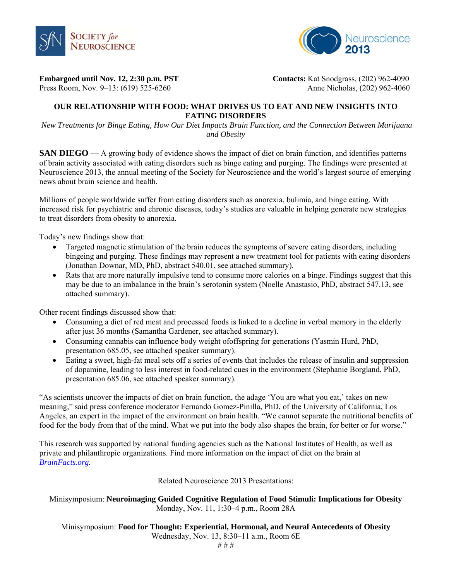



**Embargoed until Nov. 12, 2:30 p.m. PST** Contacts: Kat Snodgrass, (202) 962-4090

Press Room, Nov. 9–13: (619) 525-6260Anne Nicholas, (202) 962-4060

# **OUR RELATIONSHIP WITH FOOD: WHAT DRIVES US TO EAT AND NEW INSIGHTS INTO EATING DISORDERS**

 *New Treatments for Binge Eating, How Our Diet Impacts Brain Function, and the Connection Between Marijuana and Obesity* 

**SAN DIEGO** — A growing body of evidence shows the impact of diet on brain function, and identifies patterns of brain activity associated with eating disorders such as binge eating and purging. The findings were presented at Neuroscience 2013, the annual meeting of the Society for Neuroscience and the world's largest source of emerging news about brain science and health.

Millions of people worldwide suffer from eating disorders such as anorexia, bulimia, and binge eating. With increased risk for psychiatric and chronic diseases, today's studies are valuable in helping generate new strategies to treat disorders from obesity to anorexia.

Today's new findings show that:

- Targeted magnetic stimulation of the brain reduces the symptoms of severe eating disorders, including bingeing and purging. These findings may represent a new treatment tool for patients with eating disorders (Jonathan Downar, MD, PhD, abstract 540.01, see attached summary).
- Rats that are more naturally impulsive tend to consume more calories on a binge. Findings suggest that this may be due to an imbalance in the brain's serotonin system (Noelle Anastasio, PhD, abstract 547.13, see attached summary).

Other recent findings discussed show that:

- Consuming a diet of red meat and processed foods is linked to a decline in verbal memory in the elderly after just 36 months (Samantha Gardener, see attached summary).
- Consuming cannabis can influence body weight ofoffspring for generations (Yasmin Hurd, PhD, presentation 685.05, see attached speaker summary).
- Eating a sweet, high-fat meal sets off a series of events that includes the release of insulin and suppression of dopamine, leading to less interest in food-related cues in the environment (Stephanie Borgland, PhD, presentation 685.06, see attached speaker summary).

"As scientists uncover the impacts of diet on brain function, the adage 'You are what you eat,' takes on new meaning," said press conference moderator Fernando Gomez-Pinilla, PhD, of the University of California, Los Angeles, an expert in the impact of the environment on brain health. "We cannot separate the nutritional benefits of food for the body from that of the mind. What we put into the body also shapes the brain, for better or for worse."

This research was supported by national funding agencies such as the National Institutes of Health, as well as private and philanthropic organizations. Find more information on the impact of diet on the brain at *BrainFacts.org.*

Related Neuroscience 2013 Presentations:

Minisymposium: **Neuroimaging Guided Cognitive Regulation of Food Stimuli: Implications for Obesity** Monday, Nov. 11, 1:30–4 p.m., Room 28A

Minisymposium: **Food for Thought: Experiential, Hormonal, and Neural Antecedents of Obesity** Wednesday, Nov. 13, 8:30–11 a.m., Room 6E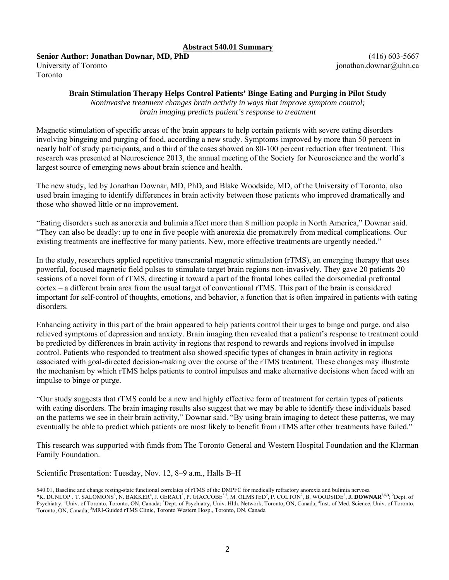#### **Abstract 540.01 Summary**

**Senior Author: Jonathan Downar, MD, PhD**  University of Toronto Toronto

(416) 603-5667 jonathan.downar@uhn.ca

#### **Brain Stimulation Therapy Helps Control Patients' Binge Eating and Purging in Pilot Study**

*Noninvasive treatment changes brain activity in ways that improve symptom control; brain imaging predicts patient's response to treatment* 

Magnetic stimulation of specific areas of the brain appears to help certain patients with severe eating disorders involving bingeing and purging of food, according a new study. Symptoms improved by more than 50 percent in nearly half of study participants, and a third of the cases showed an 80-100 percent reduction after treatment. This research was presented at Neuroscience 2013, the annual meeting of the Society for Neuroscience and the world's largest source of emerging news about brain science and health.

The new study, led by Jonathan Downar, MD, PhD, and Blake Woodside, MD, of the University of Toronto, also used brain imaging to identify differences in brain activity between those patients who improved dramatically and those who showed little or no improvement.

"Eating disorders such as anorexia and bulimia affect more than 8 million people in North America," Downar said. "They can also be deadly: up to one in five people with anorexia die prematurely from medical complications. Our existing treatments are ineffective for many patients. New, more effective treatments are urgently needed."

In the study, researchers applied repetitive transcranial magnetic stimulation (rTMS), an emerging therapy that uses powerful, focused magnetic field pulses to stimulate target brain regions non-invasively. They gave 20 patients 20 sessions of a novel form of rTMS, directing it toward a part of the frontal lobes called the dorsomedial prefrontal cortex – a different brain area from the usual target of conventional rTMS. This part of the brain is considered important for self-control of thoughts, emotions, and behavior, a function that is often impaired in patients with eating disorders.

Enhancing activity in this part of the brain appeared to help patients control their urges to binge and purge, and also relieved symptoms of depression and anxiety. Brain imaging then revealed that a patient's response to treatment could be predicted by differences in brain activity in regions that respond to rewards and regions involved in impulse control. Patients who responded to treatment also showed specific types of changes in brain activity in regions associated with goal-directed decision-making over the course of the rTMS treatment. These changes may illustrate the mechanism by which rTMS helps patients to control impulses and make alternative decisions when faced with an impulse to binge or purge.

"Our study suggests that rTMS could be a new and highly effective form of treatment for certain types of patients with eating disorders. The brain imaging results also suggest that we may be able to identify these individuals based on the patterns we see in their brain activity," Downar said. "By using brain imaging to detect these patterns, we may eventually be able to predict which patients are most likely to benefit from rTMS after other treatments have failed."

This research was supported with funds from The Toronto General and Western Hospital Foundation and the Klarman Family Foundation.

Scientific Presentation: Tuesday, Nov. 12, 8–9 a.m., Halls B–H

<sup>540.01,</sup> Baseline and change resting-state functional correlates of rTMS of the DMPFC for medically refractory anorexia and bulimia nervosa \*K. DUNLOP<sup>1</sup>, T. SALOMONS<sup>3</sup>, N. BAKKER<sup>4</sup>, J. GERACI<sup>3</sup>, P. GIACCOBE<sup>3,5</sup>, M. OLMSTED<sup>2</sup>, P. COLTON<sup>2</sup>, B. WOODSIDE<sup>2</sup>, **J. DOWNAR<sup>2,5,3</sup>**; <sup>2</sup>Dept. of Psychiatry, <sup>1</sup>Univ. of Toronto, Toronto, ON, Canada; <sup>3</sup>Dept. of Psychiatry, Univ. Hlth. Network, Toronto, ON, Canada; <sup>4</sup>Inst. of Med. Science, Univ. of Toronto, Toronto, ON, Canada; <sup>5</sup>MRI-Guided rTMS Clinic, Toronto Western Hosp., Toronto, ON, Canada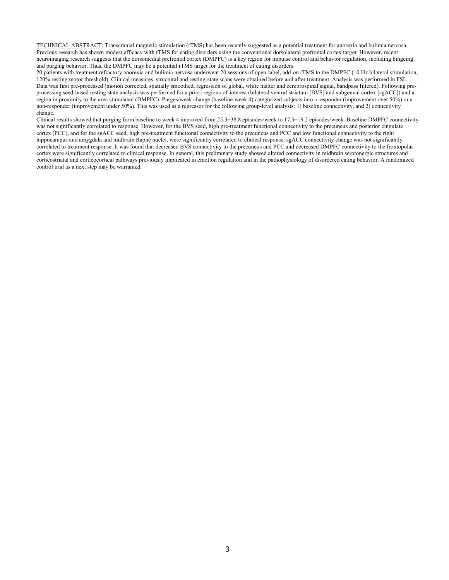TECHNICAL ABSTRACT: Transcranial magnetic stimulation (rTMS) has been recently suggested as a potential treatment for anorexia and bulimia nervosa. Previous research has shown modest efficacy with rTMS for eating disorders using the conventional dorsolateral prefrontal cortex target. However, recent neuroimaging research suggests that the dorsomedial prefrontal cortex (DMPFC) is a key region for impulse control and behavior regulation, including bingeing and purging behavior. Thus, the DMPFC may be a potential rTMS target for the treatment of eating disorders.

20 patients with treatment refractory anorexia and bulimia nervosa underwent 20 sessions of open-label, add-on rTMS to the DMPFC (10 Hz bilateral stimulation, 120% resting motor threshold). Clinical measures, structural and resting-state scans were obtained before and after treatment. Analysis was performed in FSL. Data was first pre-processed (motion corrected, spatially smoothed, regression of global, white matter and cerebrospinal signal, bandpass filtered). Following preprocessing seed-based resting state analysis was performed for a priori regions-of-interest (bilateral ventral striatum [BVS] and subgenual cortex [sgACC]) and a region in proximity to the area stimulated (DMPFC). Purges/week change (baseline-week 4) categorized subjects into a responder (improvement over 50%) or a non-responder (improvement under 50%). This was used as a regressor for the following group-level analysis: 1) baseline connectivity, and 2) connectivity change.

Clinical results showed that purging from baseline to week 4 improved from 25.3±38.8 episodes/week to 17.3±19.2 episodes/week. Baseline DMPFC connectivity was not significantly correlated to response. However, for the BVS seed, high pre-treatment functional connectivity to the precuneus and posterior cingulate cortex (PCC), and for the sgACC seed, high pre-treatment functional connectivity to the precuneus and PCC and low functional connectivity to the right hippocampus and amygdala and midbrain Raphé nuclei, were significantly correlated to clinical response. sgACC connectivity change was not significantly correlated to treatment response. It was found that decreased BVS connectivity to the precuneus and PCC and decreased DMPFC connectivity to the frontopolar cortex were significantly correlated to clinical response. In general, this preliminary study showed altered connectivity in midbrain serotonergic structures and corticostriatal and corticocortical pathways previously implicated in emotion regulation and in the pathophysiology of disordered eating behavior. A randomized control trial as a next step may be warranted.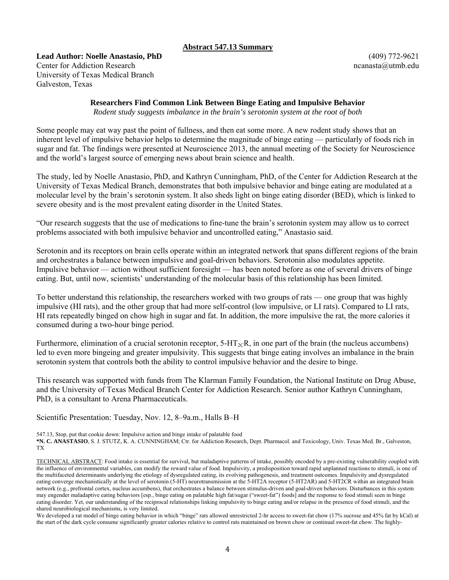## **Abstract 547.13 Summary**

**Lead Author: Noelle Anastasio, PhD**  Center for Addiction Research University of Texas Medical Branch Galveston, Texas

(409) 772-9621 ncanasta@utmb.edu

# **Researchers Find Common Link Between Binge Eating and Impulsive Behavior**

*Rodent study suggests imbalance in the brain's serotonin system at the root of both* 

Some people may eat way past the point of fullness, and then eat some more. A new rodent study shows that an inherent level of impulsive behavior helps to determine the magnitude of binge eating — particularly of foods rich in sugar and fat. The findings were presented at Neuroscience 2013, the annual meeting of the Society for Neuroscience and the world's largest source of emerging news about brain science and health.

The study, led by Noelle Anastasio, PhD, and Kathryn Cunningham, PhD, of the Center for Addiction Research at the University of Texas Medical Branch, demonstrates that both impulsive behavior and binge eating are modulated at a molecular level by the brain's serotonin system. It also sheds light on binge eating disorder (BED), which is linked to severe obesity and is the most prevalent eating disorder in the United States.

"Our research suggests that the use of medications to fine-tune the brain's serotonin system may allow us to correct problems associated with both impulsive behavior and uncontrolled eating," Anastasio said.

Serotonin and its receptors on brain cells operate within an integrated network that spans different regions of the brain and orchestrates a balance between impulsive and goal-driven behaviors. Serotonin also modulates appetite. Impulsive behavior — action without sufficient foresight — has been noted before as one of several drivers of binge eating. But, until now, scientists' understanding of the molecular basis of this relationship has been limited.

To better understand this relationship, the researchers worked with two groups of rats — one group that was highly impulsive (HI rats), and the other group that had more self-control (low impulsive, or LI rats). Compared to LI rats, HI rats repeatedly binged on chow high in sugar and fat. In addition, the more impulsive the rat, the more calories it consumed during a two-hour binge period.

Furthermore, elimination of a crucial serotonin receptor,  $5-\text{HT}_{2}c\text{R}$ , in one part of the brain (the nucleus accumbens) led to even more bingeing and greater impulsivity. This suggests that binge eating involves an imbalance in the brain serotonin system that controls both the ability to control impulsive behavior and the desire to binge.

This research was supported with funds from The Klarman Family Foundation, the National Institute on Drug Abuse, and the University of Texas Medical Branch Center for Addiction Research. Senior author Kathryn Cunningham, PhD, is a consultant to Arena Pharmaceuticals.

Scientific Presentation: Tuesday, Nov. 12, 8–9a.m., Halls B–H

We developed a rat model of binge eating behavior in which "binge" rats allowed unrestricted 2-hr access to sweet-fat chow (17% sucrose and 45% fat by kCal) at the start of the dark cycle consume significantly greater calories relative to control rats maintained on brown chow or continual sweet-fat chow. The highly-

<sup>547.13,</sup> Stop, put that cookie down: Impulsive action and binge intake of palatable food

**<sup>\*</sup>N. C. ANASTASIO**, S. J. STUTZ, K. A. CUNNINGHAM; Ctr. for Addiction Research, Dept. Pharmacol. and Toxicology, Univ. Texas Med. Br., Galveston, TX

TECHNICAL ABSTRACT: Food intake is essential for survival, but maladaptive patterns of intake, possibly encoded by a pre-existing vulnerability coupled with the influence of environmental variables, can modify the reward value of food. Impulsivity, a predisposition toward rapid unplanned reactions to stimuli, is one of the multifaceted determinants underlying the etiology of dysregulated eating, its evolving pathogenesis, and treatment outcomes. Impulsivity and dysregulated eating converge mechanistically at the level of serotonin (5-HT) neurotransmission at the 5-HT2A receptor (5-HT2AR) and 5-HT2CR within an integrated brain network (e.g., prefrontal cortex, nucleus accumbens), that orchestrates a balance between stimulus-driven and goal-driven behaviors. Disturbances in this system may engender maladaptive eating behaviors [esp., binge eating on palatable high fat/sugar ("sweet-fat") foods] and the response to food stimuli seen in binge eating disorder. Yet, our understanding of the reciprocal relationships linking impulsivity to binge eating and/or relapse in the presence of food stimuli, and the shared neurobiological mechanisms, is very limited.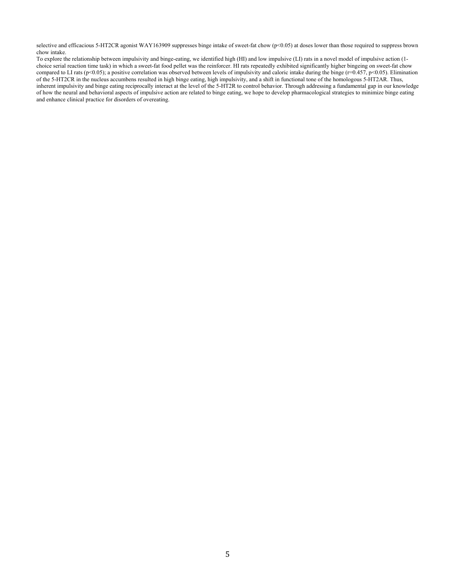selective and efficacious 5-HT2CR agonist WAY163909 suppresses binge intake of sweet-fat chow (p<0.05) at doses lower than those required to suppress brown chow intake.

To explore the relationship between impulsivity and binge-eating, we identified high (HI) and low impulsive (LI) rats in a novel model of impulsive action (1 choice serial reaction time task) in which a sweet-fat food pellet was the reinforcer. HI rats repeatedly exhibited significantly higher bingeing on sweet-fat chow compared to LI rats (p<0.05); a positive correlation was observed between levels of impulsivity and caloric intake during the binge (r=0.457, p<0.05). Elimination of the 5-HT2CR in the nucleus accumbens resulted in high binge eating, high impulsivity, and a shift in functional tone of the homologous 5-HT2AR. Thus, inherent impulsivity and binge eating reciprocally interact at the level of the 5-HT2R to control behavior. Through addressing a fundamental gap in our knowledge of how the neural and behavioral aspects of impulsive action are related to binge eating, we hope to develop pharmacological strategies to minimize binge eating and enhance clinical practice for disorders of overeating.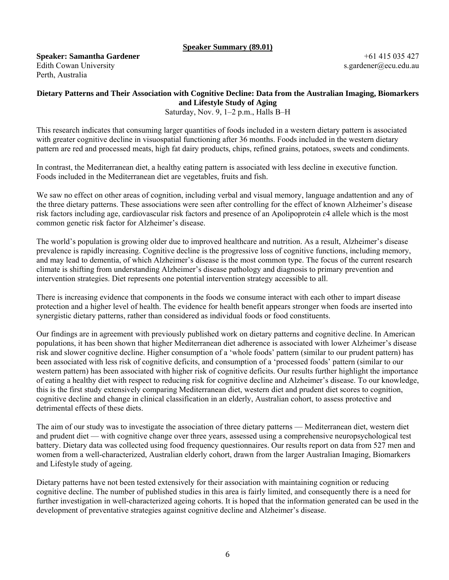#### **Speaker Summary (89.01)**

**Speaker: Samantha Gardener**  Edith Cowan University Perth, Australia

+61 415 035 427 s.gardener@ecu.edu.au

### **Dietary Patterns and Their Association with Cognitive Decline: Data from the Australian Imaging, Biomarkers and Lifestyle Study of Aging**  Saturday, Nov. 9, 1–2 p.m., Halls B–H

This research indicates that consuming larger quantities of foods included in a western dietary pattern is associated with greater cognitive decline in visuospatial functioning after 36 months. Foods included in the western dietary pattern are red and processed meats, high fat dairy products, chips, refined grains, potatoes, sweets and condiments.

In contrast, the Mediterranean diet, a healthy eating pattern is associated with less decline in executive function. Foods included in the Mediterranean diet are vegetables, fruits and fish.

We saw no effect on other areas of cognition, including verbal and visual memory, language andattention and any of the three dietary patterns. These associations were seen after controlling for the effect of known Alzheimer's disease risk factors including age, cardiovascular risk factors and presence of an Apolipoprotein ɛ4 allele which is the most common genetic risk factor for Alzheimer's disease.

The world's population is growing older due to improved healthcare and nutrition. As a result, Alzheimer's disease prevalence is rapidly increasing. Cognitive decline is the progressive loss of cognitive functions, including memory, and may lead to dementia, of which Alzheimer's disease is the most common type. The focus of the current research climate is shifting from understanding Alzheimer's disease pathology and diagnosis to primary prevention and intervention strategies. Diet represents one potential intervention strategy accessible to all.

There is increasing evidence that components in the foods we consume interact with each other to impart disease protection and a higher level of health. The evidence for health benefit appears stronger when foods are inserted into synergistic dietary patterns, rather than considered as individual foods or food constituents.

Our findings are in agreement with previously published work on dietary patterns and cognitive decline. In American populations, it has been shown that higher Mediterranean diet adherence is associated with lower Alzheimer's disease risk and slower cognitive decline. Higher consumption of a 'whole foods' pattern (similar to our prudent pattern) has been associated with less risk of cognitive deficits, and consumption of a 'processed foods' pattern (similar to our western pattern) has been associated with higher risk of cognitive deficits. Our results further highlight the importance of eating a healthy diet with respect to reducing risk for cognitive decline and Alzheimer's disease. To our knowledge, this is the first study extensively comparing Mediterranean diet, western diet and prudent diet scores to cognition, cognitive decline and change in clinical classification in an elderly, Australian cohort, to assess protective and detrimental effects of these diets.

The aim of our study was to investigate the association of three dietary patterns — Mediterranean diet, western diet and prudent diet — with cognitive change over three years, assessed using a comprehensive neuropsychological test battery. Dietary data was collected using food frequency questionnaires. Our results report on data from 527 men and women from a well-characterized, Australian elderly cohort, drawn from the larger Australian Imaging, Biomarkers and Lifestyle study of ageing.

Dietary patterns have not been tested extensively for their association with maintaining cognition or reducing cognitive decline. The number of published studies in this area is fairly limited, and consequently there is a need for further investigation in well-characterized ageing cohorts. It is hoped that the information generated can be used in the development of preventative strategies against cognitive decline and Alzheimer's disease.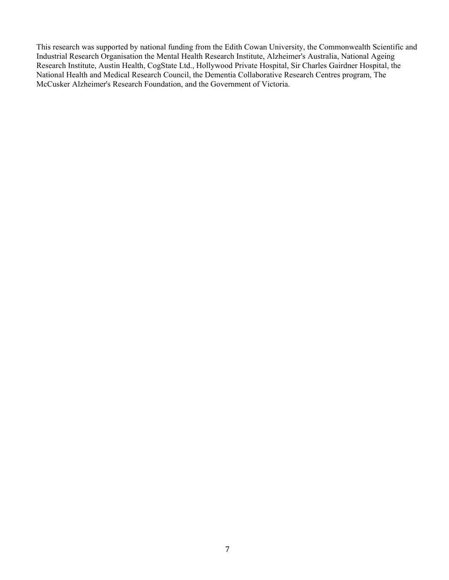This research was supported by national funding from the Edith Cowan University, the Commonwealth Scientific and Industrial Research Organisation the Mental Health Research Institute, Alzheimer's Australia, National Ageing Research Institute, Austin Health, CogState Ltd., Hollywood Private Hospital, Sir Charles Gairdner Hospital, the National Health and Medical Research Council, the Dementia Collaborative Research Centres program, The McCusker Alzheimer's Research Foundation, and the Government of Victoria.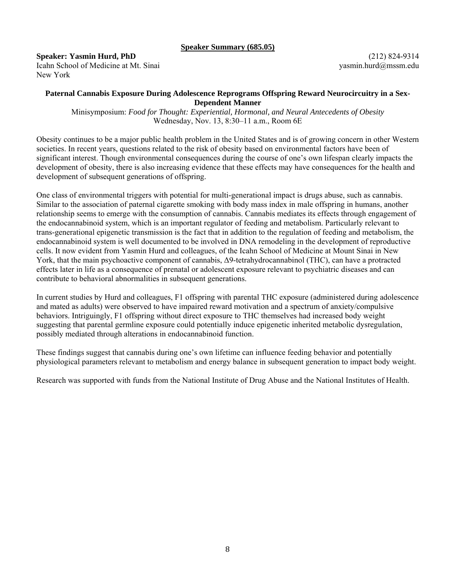#### **Speaker Summary (685.05)**

**Speaker: Yasmin Hurd, PhD** 

Icahn School of Medicine at Mt. Sinai New York

(212) 824-9314 yasmin.hurd@mssm.edu

## **Paternal Cannabis Exposure During Adolescence Reprograms Offspring Reward Neurocircuitry in a Sex-Dependent Manner**

Minisymposium: *Food for Thought: Experiential, Hormonal, and Neural Antecedents of Obesity*  Wednesday, Nov. 13, 8:30–11 a.m., Room 6E

Obesity continues to be a major public health problem in the United States and is of growing concern in other Western societies. In recent years, questions related to the risk of obesity based on environmental factors have been of significant interest. Though environmental consequences during the course of one's own lifespan clearly impacts the development of obesity, there is also increasing evidence that these effects may have consequences for the health and development of subsequent generations of offspring.

One class of environmental triggers with potential for multi-generational impact is drugs abuse, such as cannabis. Similar to the association of paternal cigarette smoking with body mass index in male offspring in humans, another relationship seems to emerge with the consumption of cannabis. Cannabis mediates its effects through engagement of the endocannabinoid system, which is an important regulator of feeding and metabolism. Particularly relevant to trans-generational epigenetic transmission is the fact that in addition to the regulation of feeding and metabolism, the endocannabinoid system is well documented to be involved in DNA remodeling in the development of reproductive cells. It now evident from Yasmin Hurd and colleagues, of the Icahn School of Medicine at Mount Sinai in New York, that the main psychoactive component of cannabis, Δ9-tetrahydrocannabinol (THC), can have a protracted effects later in life as a consequence of prenatal or adolescent exposure relevant to psychiatric diseases and can contribute to behavioral abnormalities in subsequent generations.

In current studies by Hurd and colleagues, F1 offspring with parental THC exposure (administered during adolescence and mated as adults) were observed to have impaired reward motivation and a spectrum of anxiety/compulsive behaviors. Intriguingly, F1 offspring without direct exposure to THC themselves had increased body weight suggesting that parental germline exposure could potentially induce epigenetic inherited metabolic dysregulation, possibly mediated through alterations in endocannabinoid function.

These findings suggest that cannabis during one's own lifetime can influence feeding behavior and potentially physiological parameters relevant to metabolism and energy balance in subsequent generation to impact body weight.

Research was supported with funds from the National Institute of Drug Abuse and the National Institutes of Health.